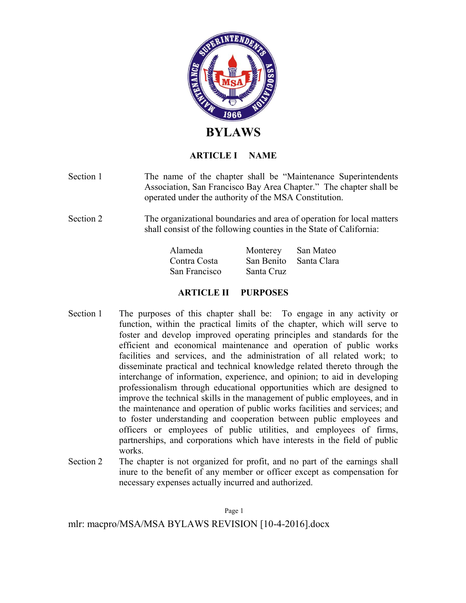

# **ARTICLE I NAME**

- Section 1 The name of the chapter shall be "Maintenance Superintendents" Association, San Francisco Bay Area Chapter." The chapter shall be operated under the authority of the MSA Constitution.
- Section 2 The organizational boundaries and area of operation for local matters shall consist of the following counties in the State of California:

| Alameda       | Monterey               | San Mateo |
|---------------|------------------------|-----------|
| Contra Costa  | San Benito Santa Clara |           |
| San Francisco | Santa Cruz             |           |

# **ARTICLE II PURPOSES**

- Section 1 The purposes of this chapter shall be: To engage in any activity or function, within the practical limits of the chapter, which will serve to foster and develop improved operating principles and standards for the efficient and economical maintenance and operation of public works facilities and services, and the administration of all related work; to disseminate practical and technical knowledge related thereto through the interchange of information, experience, and opinion; to aid in developing professionalism through educational opportunities which are designed to improve the technical skills in the management of public employees, and in the maintenance and operation of public works facilities and services; and to foster understanding and cooperation between public employees and officers or employees of public utilities, and employees of firms, partnerships, and corporations which have interests in the field of public works.
- Section 2 The chapter is not organized for profit, and no part of the earnings shall inure to the benefit of any member or officer except as compensation for necessary expenses actually incurred and authorized.

Page 1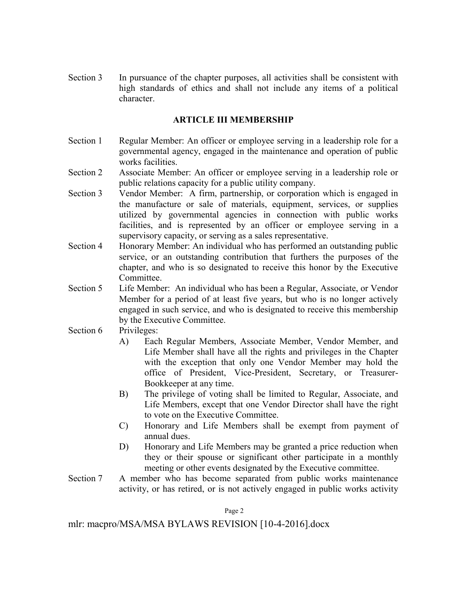Section 3 In pursuance of the chapter purposes, all activities shall be consistent with high standards of ethics and shall not include any items of a political character.

# **ARTICLE III MEMBERSHIP**

- Section 1 Regular Member: An officer or employee serving in a leadership role for a governmental agency, engaged in the maintenance and operation of public works facilities.
- Section 2 Associate Member: An officer or employee serving in a leadership role or public relations capacity for a public utility company.
- Section 3 Vendor Member: A firm, partnership, or corporation which is engaged in the manufacture or sale of materials, equipment, services, or supplies utilized by governmental agencies in connection with public works facilities, and is represented by an officer or employee serving in a supervisory capacity, or serving as a sales representative.
- Section 4 Honorary Member: An individual who has performed an outstanding public service, or an outstanding contribution that furthers the purposes of the chapter, and who is so designated to receive this honor by the Executive **Committee**
- Section 5 Life Member: An individual who has been a Regular, Associate, or Vendor Member for a period of at least five years, but who is no longer actively engaged in such service, and who is designated to receive this membership by the Executive Committee.
- Section 6 Privileges:
	- A) Each Regular Members, Associate Member, Vendor Member, and Life Member shall have all the rights and privileges in the Chapter with the exception that only one Vendor Member may hold the office of President, Vice-President, Secretary, or Treasurer-Bookkeeper at any time.
	- B) The privilege of voting shall be limited to Regular, Associate, and Life Members, except that one Vendor Director shall have the right to vote on the Executive Committee.
	- C) Honorary and Life Members shall be exempt from payment of annual dues.
	- D) Honorary and Life Members may be granted a price reduction when they or their spouse or significant other participate in a monthly meeting or other events designated by the Executive committee.
- Section 7 A member who has become separated from public works maintenance activity, or has retired, or is not actively engaged in public works activity

Page 2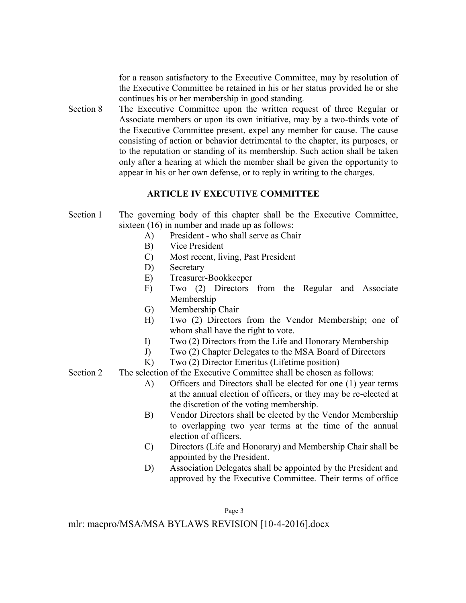for a reason satisfactory to the Executive Committee, may by resolution of the Executive Committee be retained in his or her status provided he or she continues his or her membership in good standing.

Section 8 The Executive Committee upon the written request of three Regular or Associate members or upon its own initiative, may by a two-thirds vote of the Executive Committee present, expel any member for cause. The cause consisting of action or behavior detrimental to the chapter, its purposes, or to the reputation or standing of its membership. Such action shall be taken only after a hearing at which the member shall be given the opportunity to appear in his or her own defense, or to reply in writing to the charges.

# **ARTICLE IV EXECUTIVE COMMITTEE**

- Section 1 The governing body of this chapter shall be the Executive Committee, sixteen (16) in number and made up as follows:
	- A) President who shall serve as Chair
	- B) Vice President
	- C) Most recent, living, Past President
	- D) Secretary
	- E) Treasurer-Bookkeeper
	- F) Two (2) Directors from the Regular and Associate Membership
	- G) Membership Chair
	- H) Two (2) Directors from the Vendor Membership; one of whom shall have the right to vote.
	- I) Two (2) Directors from the Life and Honorary Membership
	- J) Two (2) Chapter Delegates to the MSA Board of Directors
	- K) Two (2) Director Emeritus (Lifetime position)
- Section 2 The selection of the Executive Committee shall be chosen as follows:
	- A) Officers and Directors shall be elected for one (1) year terms at the annual election of officers, or they may be re-elected at the discretion of the voting membership.
	- B) Vendor Directors shall be elected by the Vendor Membership to overlapping two year terms at the time of the annual election of officers.
	- C) Directors (Life and Honorary) and Membership Chair shall be appointed by the President.
	- D) Association Delegates shall be appointed by the President and approved by the Executive Committee. Their terms of office

Page 3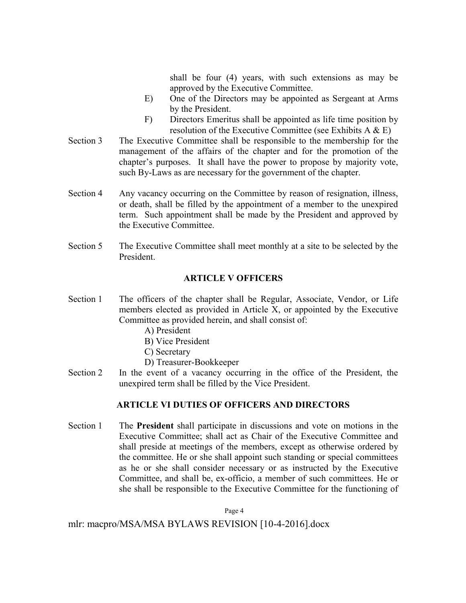shall be four (4) years, with such extensions as may be approved by the Executive Committee.

- E) One of the Directors may be appointed as Sergeant at Arms by the President.
- F) Directors Emeritus shall be appointed as life time position by resolution of the Executive Committee (see Exhibits A & E)
- Section 3 The Executive Committee shall be responsible to the membership for the management of the affairs of the chapter and for the promotion of the chapter's purposes. It shall have the power to propose by majority vote, such By-Laws as are necessary for the government of the chapter.
- Section 4 Any vacancy occurring on the Committee by reason of resignation, illness, or death, shall be filled by the appointment of a member to the unexpired term. Such appointment shall be made by the President and approved by the Executive Committee.
- Section 5 The Executive Committee shall meet monthly at a site to be selected by the President.

# **ARTICLE V OFFICERS**

- Section 1 The officers of the chapter shall be Regular, Associate, Vendor, or Life members elected as provided in Article X, or appointed by the Executive Committee as provided herein, and shall consist of:
	- A) President
	- B) Vice President
	- C) Secretary
	- D) Treasurer-Bookkeeper
- Section 2 In the event of a vacancy occurring in the office of the President, the unexpired term shall be filled by the Vice President.

# **ARTICLE VI DUTIES OF OFFICERS AND DIRECTORS**

Section 1 The **President** shall participate in discussions and vote on motions in the Executive Committee; shall act as Chair of the Executive Committee and shall preside at meetings of the members, except as otherwise ordered by the committee. He or she shall appoint such standing or special committees as he or she shall consider necessary or as instructed by the Executive Committee, and shall be, ex-officio, a member of such committees. He or she shall be responsible to the Executive Committee for the functioning of

Page 4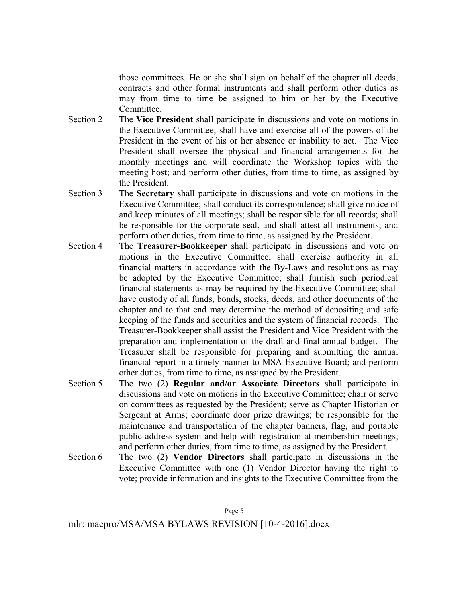those committees. He or she shall sign on behalf of the chapter all deeds, contracts and other formal instruments and shall perform other duties as may from time to time be assigned to him or her by the Executive Committee.

- Section 2 The **Vice President** shall participate in discussions and vote on motions in the Executive Committee; shall have and exercise all of the powers of the President in the event of his or her absence or inability to act. The Vice President shall oversee the physical and financial arrangements for the monthly meetings and will coordinate the Workshop topics with the meeting host; and perform other duties, from time to time, as assigned by the President.
- Section 3 The **Secretary** shall participate in discussions and vote on motions in the Executive Committee; shall conduct its correspondence; shall give notice of and keep minutes of all meetings; shall be responsible for all records; shall be responsible for the corporate seal, and shall attest all instruments; and perform other duties, from time to time, as assigned by the President.
- Section 4 The **Treasurer-Bookkeeper** shall participate in discussions and vote on motions in the Executive Committee; shall exercise authority in all financial matters in accordance with the By-Laws and resolutions as may be adopted by the Executive Committee; shall furnish such periodical financial statements as may be required by the Executive Committee; shall have custody of all funds, bonds, stocks, deeds, and other documents of the chapter and to that end may determine the method of depositing and safe keeping of the funds and securities and the system of financial records. The Treasurer-Bookkeeper shall assist the President and Vice President with the preparation and implementation of the draft and final annual budget. The Treasurer shall be responsible for preparing and submitting the annual financial report in a timely manner to MSA Executive Board; and perform other duties, from time to time, as assigned by the President.
- Section 5 The two (2) **Regular and/or Associate Directors** shall participate in discussions and vote on motions in the Executive Committee; chair or serve on committees as requested by the President; serve as Chapter Historian or Sergeant at Arms; coordinate door prize drawings; be responsible for the maintenance and transportation of the chapter banners, flag, and portable public address system and help with registration at membership meetings; and perform other duties, from time to time, as assigned by the President.
- Section 6 The two (2) **Vendor Directors** shall participate in discussions in the Executive Committee with one (1) Vendor Director having the right to vote; provide information and insights to the Executive Committee from the

Page 5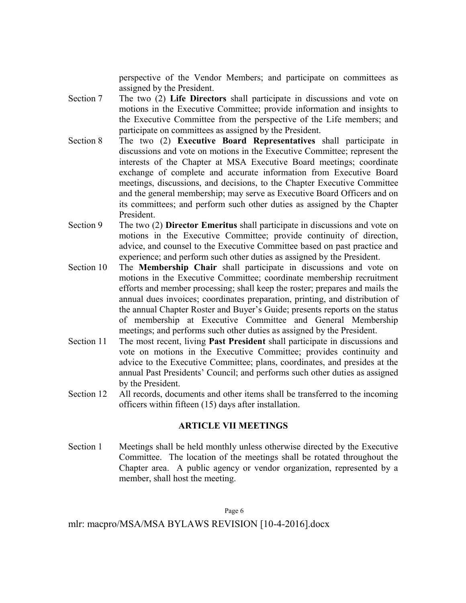perspective of the Vendor Members; and participate on committees as assigned by the President.

- Section 7 The two (2) **Life Directors** shall participate in discussions and vote on motions in the Executive Committee; provide information and insights to the Executive Committee from the perspective of the Life members; and participate on committees as assigned by the President.
- Section 8 The two (2) **Executive Board Representatives** shall participate in discussions and vote on motions in the Executive Committee; represent the interests of the Chapter at MSA Executive Board meetings; coordinate exchange of complete and accurate information from Executive Board meetings, discussions, and decisions, to the Chapter Executive Committee and the general membership; may serve as Executive Board Officers and on its committees; and perform such other duties as assigned by the Chapter President.
- Section 9 The two (2) **Director Emeritus** shall participate in discussions and vote on motions in the Executive Committee; provide continuity of direction, advice, and counsel to the Executive Committee based on past practice and experience; and perform such other duties as assigned by the President.
- Section 10 The **Membership Chair** shall participate in discussions and vote on motions in the Executive Committee; coordinate membership recruitment efforts and member processing; shall keep the roster; prepares and mails the annual dues invoices; coordinates preparation, printing, and distribution of the annual Chapter Roster and Buyer's Guide; presents reports on the status of membership at Executive Committee and General Membership meetings; and performs such other duties as assigned by the President.
- Section 11 The most recent, living **Past President** shall participate in discussions and vote on motions in the Executive Committee; provides continuity and advice to the Executive Committee; plans, coordinates, and presides at the annual Past Presidents' Council; and performs such other duties as assigned by the President.
- Section 12 All records, documents and other items shall be transferred to the incoming officers within fifteen (15) days after installation.

# **ARTICLE VII MEETINGS**

Section 1 Meetings shall be held monthly unless otherwise directed by the Executive Committee. The location of the meetings shall be rotated throughout the Chapter area. A public agency or vendor organization, represented by a member, shall host the meeting.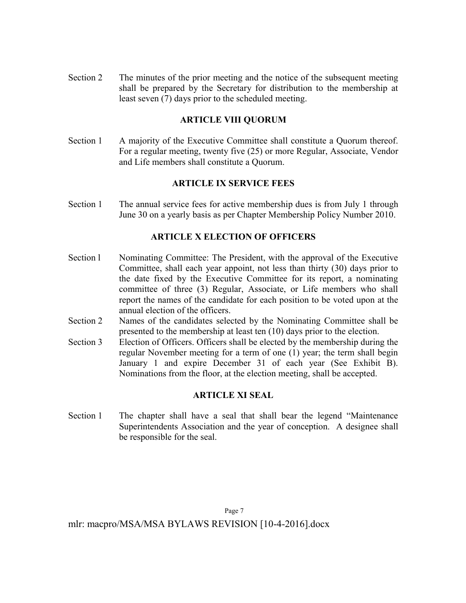Section 2 The minutes of the prior meeting and the notice of the subsequent meeting shall be prepared by the Secretary for distribution to the membership at least seven (7) days prior to the scheduled meeting.

# **ARTICLE VIII QUORUM**

Section 1 A majority of the Executive Committee shall constitute a Quorum thereof. For a regular meeting, twenty five (25) or more Regular, Associate, Vendor and Life members shall constitute a Quorum.

# **ARTICLE IX SERVICE FEES**

Section 1 The annual service fees for active membership dues is from July 1 through June 30 on a yearly basis as per Chapter Membership Policy Number 2010.

# **ARTICLE X ELECTION OF OFFICERS**

- Section l Nominating Committee: The President, with the approval of the Executive Committee, shall each year appoint, not less than thirty (30) days prior to the date fixed by the Executive Committee for its report, a nominating committee of three (3) Regular, Associate, or Life members who shall report the names of the candidate for each position to be voted upon at the annual election of the officers.
- Section 2 Names of the candidates selected by the Nominating Committee shall be presented to the membership at least ten (10) days prior to the election.
- Section 3 Election of Officers. Officers shall be elected by the membership during the regular November meeting for a term of one (1) year; the term shall begin January 1 and expire December 31 of each year (See Exhibit B). Nominations from the floor, at the election meeting, shall be accepted.

# **ARTICLE XI SEAL**

Section 1 The chapter shall have a seal that shall bear the legend "Maintenance Superintendents Association and the year of conception. A designee shall be responsible for the seal.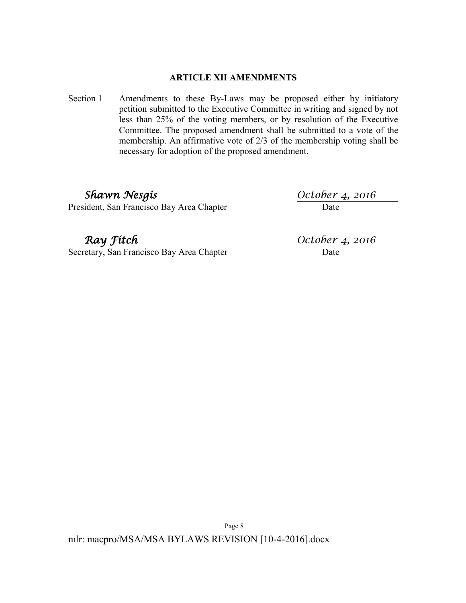# **ARTICLE XII AMENDMENTS**

Section 1 Amendments to these By-Laws may be proposed either by initiatory petition submitted to the Executive Committee in writing and signed by not less than 25% of the voting members, or by resolution of the Executive Committee. The proposed amendment shall be submitted to a vote of the membership. An affirmative vote of 2/3 of the membership voting shall be necessary for adoption of the proposed amendment.

President, San Francisco Bay Area Chapter

**Shawn Nesgis**<br> **Collaction:** *San Francisco Bay Area Chapter*<br> **Collaction:** *October 4, 2016*<br>
Date

Secretary, San Francisco Bay Area Chapter

*Ray fitch*  $\frac{October\ 4, 2016}{Date}$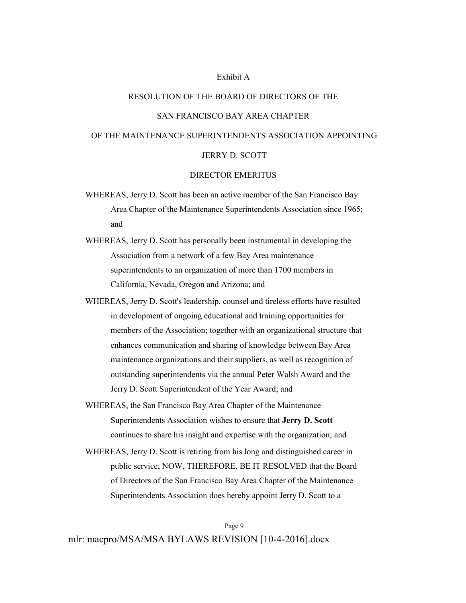#### Exhibit A

#### RESOLUTION OF THE BOARD OF DIRECTORS OF THE

#### SAN FRANCISCO BAY AREA CHAPTER

#### OF THE MAINTENANCE SUPERINTENDENTS ASSOCIATION APPOINTING

#### JERRY D. SCOTT

#### DIRECTOR EMERITUS

- WHEREAS, Jerry D. Scott has been an active member of the San Francisco Bay Area Chapter of the Maintenance Superintendents Association since 1965; and
- WHEREAS, Jerry D. Scott has personally been instrumental in developing the Association from a network of a few Bay Area maintenance superintendents to an organization of more than 1700 members in California, Nevada, Oregon and Arizona; and
- WHEREAS, Jerry D. Scott's leadership, counsel and tireless efforts have resulted in development of ongoing educational and training opportunities for members of the Association; together with an organizational structure that enhances communication and sharing of knowledge between Bay Area maintenance organizations and their suppliers, as well as recognition of outstanding superintendents via the annual Peter Walsh Award and the Jerry D. Scott Superintendent of the Year Award; and
- WHEREAS, the San Francisco Bay Area Chapter of the Maintenance Superintendents Association wishes to ensure that **Jerry D. Scott** continues to share his insight and expertise with the organization; and
- WHEREAS, Jerry D. Scott is retiring from his long and distinguished career in public service; NOW, THEREFORE, BE IT RESOLVED that the Board of Directors of the San Francisco Bay Area Chapter of the Maintenance Superintendents Association does hereby appoint Jerry D. Scott to a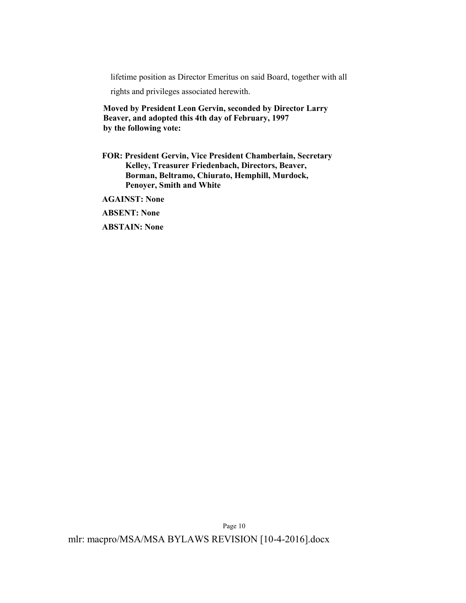lifetime position as Director Emeritus on said Board, together with all

rights and privileges associated herewith.

**Moved by President Leon Gervin, seconded by Director Larry Beaver, and adopted this 4th day of February, 1997 by the following vote:**

**FOR: President Gervin, Vice President Chamberlain, Secretary Kelley, Treasurer Friedenbach, Directors, Beaver, Borman, Beltramo, Chiurato, Hemphill, Murdock, Penoyer, Smith and White**

**AGAINST: None**

**ABSENT: None**

**ABSTAIN: None**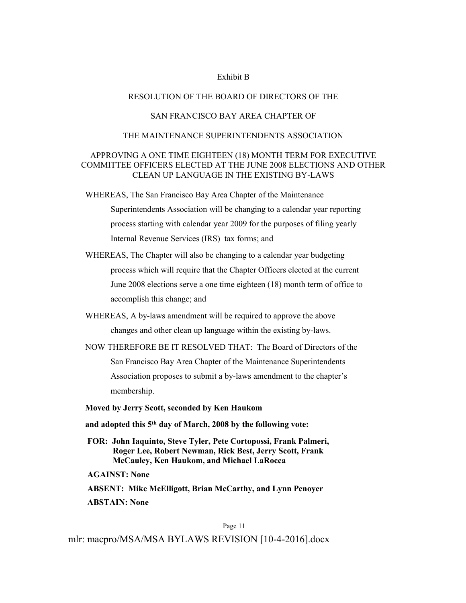#### Exhibit B

#### RESOLUTION OF THE BOARD OF DIRECTORS OF THE

### SAN FRANCISCO BAY AREA CHAPTER OF

#### THE MAINTENANCE SUPERINTENDENTS ASSOCIATION

### APPROVING A ONE TIME EIGHTEEN (18) MONTH TERM FOR EXECUTIVE COMMITTEE OFFICERS ELECTED AT THE JUNE 2008 ELECTIONS AND OTHER CLEAN UP LANGUAGE IN THE EXISTING BY-LAWS

WHEREAS, The San Francisco Bay Area Chapter of the Maintenance Superintendents Association will be changing to a calendar year reporting process starting with calendar year 2009 for the purposes of filing yearly Internal Revenue Services (IRS) tax forms; and

- WHEREAS, The Chapter will also be changing to a calendar year budgeting process which will require that the Chapter Officers elected at the current June 2008 elections serve a one time eighteen (18) month term of office to accomplish this change; and
- WHEREAS, A by-laws amendment will be required to approve the above changes and other clean up language within the existing by-laws.
- NOW THEREFORE BE IT RESOLVED THAT: The Board of Directors of the San Francisco Bay Area Chapter of the Maintenance Superintendents Association proposes to submit a by-laws amendment to the chapter's membership.

**Moved by Jerry Scott, seconded by Ken Haukom**

- **and adopted this 5th day of March, 2008 by the following vote:**
- **FOR: John Iaquinto, Steve Tyler, Pete Cortopossi, Frank Palmeri, Roger Lee, Robert Newman, Rick Best, Jerry Scott, Frank McCauley, Ken Haukom, and Michael LaRocca**

**AGAINST: None**

**ABSENT: Mike McElligott, Brian McCarthy, and Lynn Penoyer ABSTAIN: None**

Page 11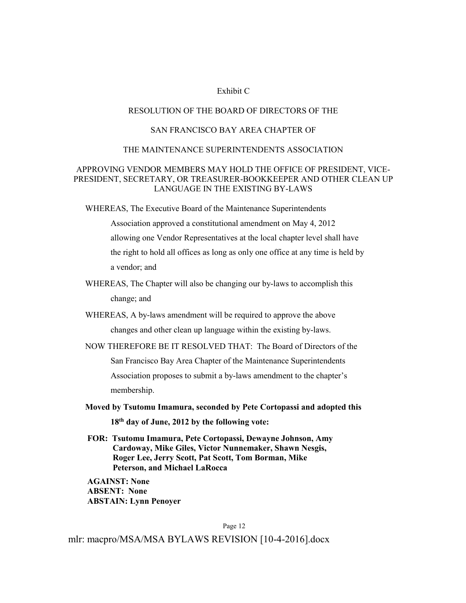#### Exhibit C

#### RESOLUTION OF THE BOARD OF DIRECTORS OF THE

### SAN FRANCISCO BAY AREA CHAPTER OF

#### THE MAINTENANCE SUPERINTENDENTS ASSOCIATION

#### APPROVING VENDOR MEMBERS MAY HOLD THE OFFICE OF PRESIDENT, VICE-PRESIDENT, SECRETARY, OR TREASURER-BOOKKEEPER AND OTHER CLEAN UP LANGUAGE IN THE EXISTING BY-LAWS

WHEREAS, The Executive Board of the Maintenance Superintendents

Association approved a constitutional amendment on May 4, 2012 allowing one Vendor Representatives at the local chapter level shall have the right to hold all offices as long as only one office at any time is held by a vendor; and

- WHEREAS, The Chapter will also be changing our by-laws to accomplish this change; and
- WHEREAS, A by-laws amendment will be required to approve the above changes and other clean up language within the existing by-laws.
- NOW THEREFORE BE IT RESOLVED THAT: The Board of Directors of the San Francisco Bay Area Chapter of the Maintenance Superintendents Association proposes to submit a by-laws amendment to the chapter's membership.
- **Moved by Tsutomu Imamura, seconded by Pete Cortopassi and adopted this 18th day of June, 2012 by the following vote:**
- **FOR: Tsutomu Imamura, Pete Cortopassi, Dewayne Johnson, Amy Cardoway, Mike Giles, Victor Nunnemaker, Shawn Nesgis, Roger Lee, Jerry Scott, Pat Scott, Tom Borman, Mike Peterson, and Michael LaRocca**

**AGAINST: None ABSENT: None ABSTAIN: Lynn Penoyer**

Page 12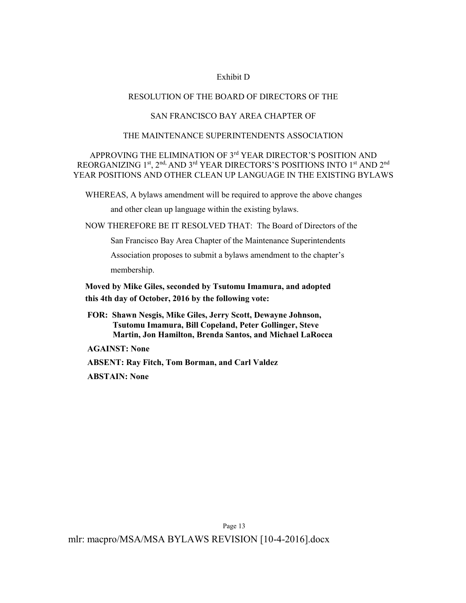#### Exhibit D

#### RESOLUTION OF THE BOARD OF DIRECTORS OF THE

### SAN FRANCISCO BAY AREA CHAPTER OF

#### THE MAINTENANCE SUPERINTENDENTS ASSOCIATION

# APPROVING THE ELIMINATION OF 3<sup>rd</sup> YEAR DIRECTOR'S POSITION AND REORGANIZING 1<sup>st</sup>, 2<sup>nd,</sup> AND 3<sup>rd</sup> YEAR DIRECTORS'S POSITIONS INTO 1<sup>st</sup> AND 2<sup>nd</sup> YEAR POSITIONS AND OTHER CLEAN UP LANGUAGE IN THE EXISTING BYLAWS

WHEREAS, A bylaws amendment will be required to approve the above changes

and other clean up language within the existing bylaws.

NOW THEREFORE BE IT RESOLVED THAT: The Board of Directors of the

San Francisco Bay Area Chapter of the Maintenance Superintendents

Association proposes to submit a bylaws amendment to the chapter's membership.

**Moved by Mike Giles, seconded by Tsutomu Imamura, and adopted this 4th day of October, 2016 by the following vote:**

**FOR: Shawn Nesgis, Mike Giles, Jerry Scott, Dewayne Johnson, Tsutomu Imamura, Bill Copeland, Peter Gollinger, Steve Martin, Jon Hamilton, Brenda Santos, and Michael LaRocca**

**AGAINST: None**

**ABSENT: Ray Fitch, Tom Borman, and Carl Valdez**

**ABSTAIN: None**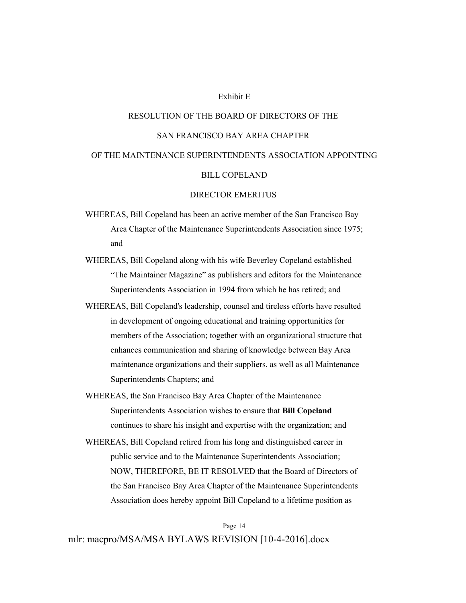#### Exhibit E

# RESOLUTION OF THE BOARD OF DIRECTORS OF THE SAN FRANCISCO BAY AREA CHAPTER OF THE MAINTENANCE SUPERINTENDENTS ASSOCIATION APPOINTING BILL COPELAND

#### DIRECTOR EMERITUS

- WHEREAS, Bill Copeland has been an active member of the San Francisco Bay Area Chapter of the Maintenance Superintendents Association since 1975; and
- WHEREAS, Bill Copeland along with his wife Beverley Copeland established "The Maintainer Magazine" as publishers and editors for the Maintenance Superintendents Association in 1994 from which he has retired; and
- WHEREAS, Bill Copeland's leadership, counsel and tireless efforts have resulted in development of ongoing educational and training opportunities for members of the Association; together with an organizational structure that enhances communication and sharing of knowledge between Bay Area maintenance organizations and their suppliers, as well as all Maintenance Superintendents Chapters; and
- WHEREAS, the San Francisco Bay Area Chapter of the Maintenance Superintendents Association wishes to ensure that **Bill Copeland** continues to share his insight and expertise with the organization; and
- WHEREAS, Bill Copeland retired from his long and distinguished career in public service and to the Maintenance Superintendents Association; NOW, THEREFORE, BE IT RESOLVED that the Board of Directors of the San Francisco Bay Area Chapter of the Maintenance Superintendents Association does hereby appoint Bill Copeland to a lifetime position as